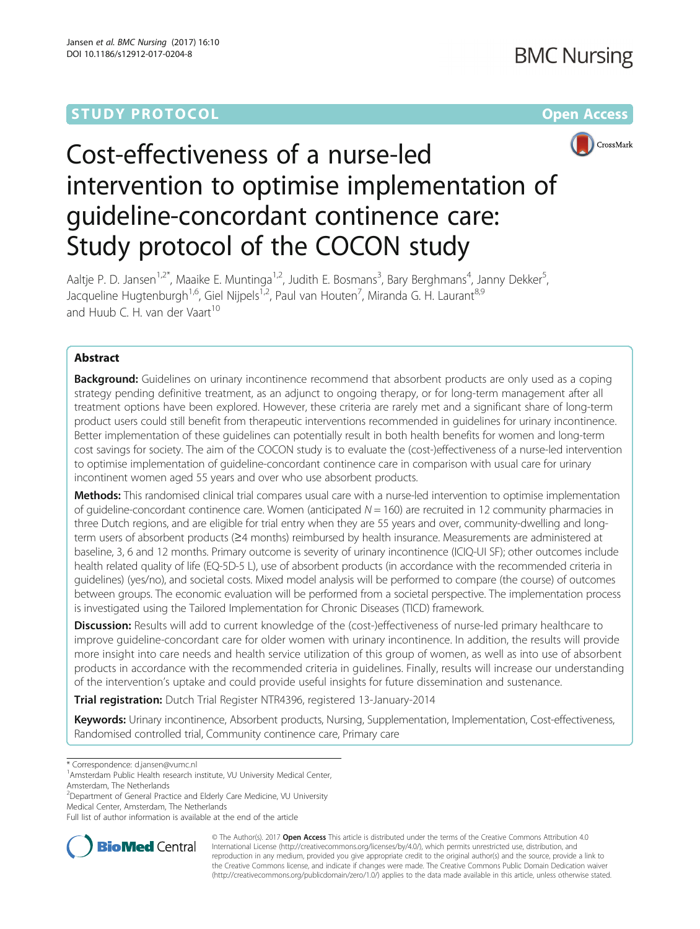## **STUDY PROTOCOL CONSUMING THE RESERVE ACCESS**



# Cost-effectiveness of a nurse-led intervention to optimise implementation of guideline-concordant continence care: Study protocol of the COCON study

Aaltje P. D. Jansen<sup>1,2\*</sup>, Maaike E. Muntinga<sup>1,2</sup>, Judith E. Bosmans<sup>3</sup>, Bary Berghmans<sup>4</sup>, Janny Dekker<sup>5</sup> , Jacqueline Hugtenburgh<sup>1,6</sup>, Giel Nijpels<sup>1,2</sup>, Paul van Houten<sup>7</sup>, Miranda G. H. Laurant<sup>8,9</sup> and Huub C. H. van der Vaart<sup>10</sup>

## Abstract

**Background:** Guidelines on urinary incontinence recommend that absorbent products are only used as a coping strategy pending definitive treatment, as an adjunct to ongoing therapy, or for long-term management after all treatment options have been explored. However, these criteria are rarely met and a significant share of long-term product users could still benefit from therapeutic interventions recommended in guidelines for urinary incontinence. Better implementation of these guidelines can potentially result in both health benefits for women and long-term cost savings for society. The aim of the COCON study is to evaluate the (cost-)effectiveness of a nurse-led intervention to optimise implementation of guideline-concordant continence care in comparison with usual care for urinary incontinent women aged 55 years and over who use absorbent products.

Methods: This randomised clinical trial compares usual care with a nurse-led intervention to optimise implementation of guideline-concordant continence care. Women (anticipated  $N = 160$ ) are recruited in 12 community pharmacies in three Dutch regions, and are eligible for trial entry when they are 55 years and over, community-dwelling and longterm users of absorbent products (≥4 months) reimbursed by health insurance. Measurements are administered at baseline, 3, 6 and 12 months. Primary outcome is severity of urinary incontinence (ICIQ-UI SF); other outcomes include health related quality of life (EQ-5D-5 L), use of absorbent products (in accordance with the recommended criteria in guidelines) (yes/no), and societal costs. Mixed model analysis will be performed to compare (the course) of outcomes between groups. The economic evaluation will be performed from a societal perspective. The implementation process is investigated using the Tailored Implementation for Chronic Diseases (TICD) framework.

Discussion: Results will add to current knowledge of the (cost-)effectiveness of nurse-led primary healthcare to improve guideline-concordant care for older women with urinary incontinence. In addition, the results will provide more insight into care needs and health service utilization of this group of women, as well as into use of absorbent products in accordance with the recommended criteria in guidelines. Finally, results will increase our understanding of the intervention's uptake and could provide useful insights for future dissemination and sustenance.

**Trial registration:** Dutch Trial Register [NTR4396,](http://www.trialregister.nl/trialreg/admin/rctview.asp?TC=4396) registered 13-January-2014

Keywords: Urinary incontinence, Absorbent products, Nursing, Supplementation, Implementation, Cost-effectiveness, Randomised controlled trial, Community continence care, Primary care

\* Correspondence: [d.jansen@vumc.nl](mailto:d.jansen@vumc.nl) <sup>1</sup>

<sup>2</sup>Department of General Practice and Elderly Care Medicine, VU University Medical Center, Amsterdam, The Netherlands

Full list of author information is available at the end of the article



© The Author(s). 2017 **Open Access** This article is distributed under the terms of the Creative Commons Attribution 4.0 International License [\(http://creativecommons.org/licenses/by/4.0/](http://creativecommons.org/licenses/by/4.0/)), which permits unrestricted use, distribution, and reproduction in any medium, provided you give appropriate credit to the original author(s) and the source, provide a link to the Creative Commons license, and indicate if changes were made. The Creative Commons Public Domain Dedication waiver [\(http://creativecommons.org/publicdomain/zero/1.0/](http://creativecommons.org/publicdomain/zero/1.0/)) applies to the data made available in this article, unless otherwise stated.

<sup>&</sup>lt;sup>1</sup> Amsterdam Public Health research institute, VU University Medical Center, Amsterdam, The Netherlands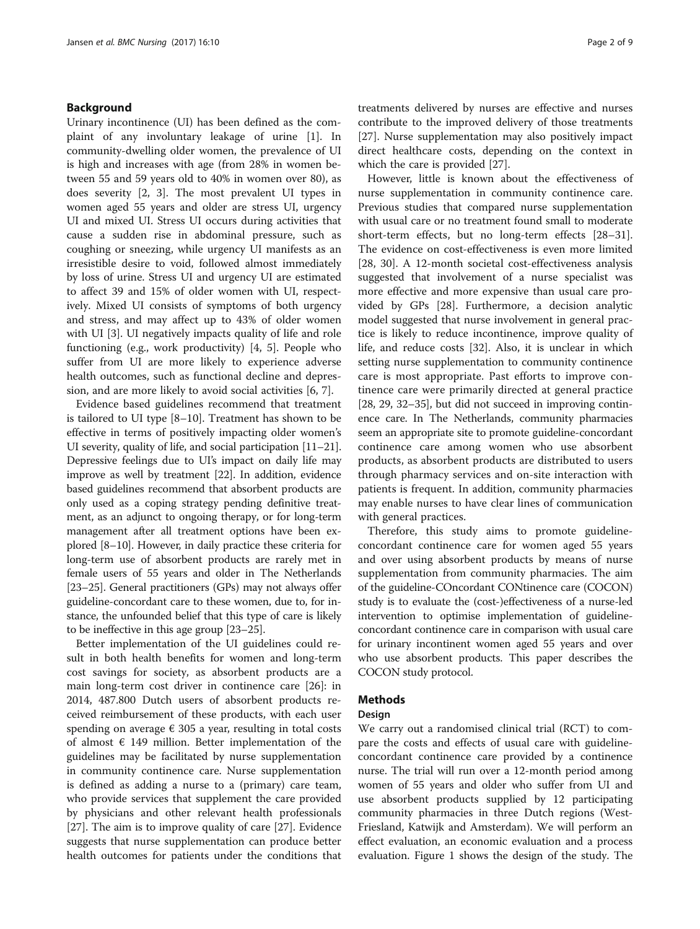## Background

Urinary incontinence (UI) has been defined as the complaint of any involuntary leakage of urine [\[1\]](#page-7-0). In community-dwelling older women, the prevalence of UI is high and increases with age (from 28% in women between 55 and 59 years old to 40% in women over 80), as does severity [[2](#page-7-0), [3](#page-7-0)]. The most prevalent UI types in women aged 55 years and older are stress UI, urgency UI and mixed UI. Stress UI occurs during activities that cause a sudden rise in abdominal pressure, such as coughing or sneezing, while urgency UI manifests as an irresistible desire to void, followed almost immediately by loss of urine. Stress UI and urgency UI are estimated to affect 39 and 15% of older women with UI, respectively. Mixed UI consists of symptoms of both urgency and stress, and may affect up to 43% of older women with UI [\[3](#page-7-0)]. UI negatively impacts quality of life and role functioning (e.g., work productivity) [[4, 5](#page-7-0)]. People who suffer from UI are more likely to experience adverse health outcomes, such as functional decline and depression, and are more likely to avoid social activities [[6, 7\]](#page-7-0).

Evidence based guidelines recommend that treatment is tailored to UI type [\[8](#page-7-0)–[10\]](#page-7-0). Treatment has shown to be effective in terms of positively impacting older women's UI severity, quality of life, and social participation [\[11](#page-7-0)–[21](#page-8-0)]. Depressive feelings due to UI's impact on daily life may improve as well by treatment [\[22](#page-8-0)]. In addition, evidence based guidelines recommend that absorbent products are only used as a coping strategy pending definitive treatment, as an adjunct to ongoing therapy, or for long-term management after all treatment options have been explored [\[8](#page-7-0)–[10\]](#page-7-0). However, in daily practice these criteria for long-term use of absorbent products are rarely met in female users of 55 years and older in The Netherlands [[23](#page-8-0)–[25\]](#page-8-0). General practitioners (GPs) may not always offer guideline-concordant care to these women, due to, for instance, the unfounded belief that this type of care is likely to be ineffective in this age group [\[23](#page-8-0)–[25\]](#page-8-0).

Better implementation of the UI guidelines could result in both health benefits for women and long-term cost savings for society, as absorbent products are a main long-term cost driver in continence care [[26\]](#page-8-0): in 2014, 487.800 Dutch users of absorbent products received reimbursement of these products, with each user spending on average  $\epsilon$  305 a year, resulting in total costs of almost  $\epsilon$  149 million. Better implementation of the guidelines may be facilitated by nurse supplementation in community continence care. Nurse supplementation is defined as adding a nurse to a (primary) care team, who provide services that supplement the care provided by physicians and other relevant health professionals [[27\]](#page-8-0). The aim is to improve quality of care [\[27](#page-8-0)]. Evidence suggests that nurse supplementation can produce better health outcomes for patients under the conditions that treatments delivered by nurses are effective and nurses contribute to the improved delivery of those treatments [[27\]](#page-8-0). Nurse supplementation may also positively impact direct healthcare costs, depending on the context in which the care is provided [\[27\]](#page-8-0).

However, little is known about the effectiveness of nurse supplementation in community continence care. Previous studies that compared nurse supplementation with usual care or no treatment found small to moderate short-term effects, but no long-term effects [[28](#page-8-0)–[31](#page-8-0)]. The evidence on cost-effectiveness is even more limited [[28, 30\]](#page-8-0). A 12-month societal cost-effectiveness analysis suggested that involvement of a nurse specialist was more effective and more expensive than usual care provided by GPs [[28\]](#page-8-0). Furthermore, a decision analytic model suggested that nurse involvement in general practice is likely to reduce incontinence, improve quality of life, and reduce costs [\[32](#page-8-0)]. Also, it is unclear in which setting nurse supplementation to community continence care is most appropriate. Past efforts to improve continence care were primarily directed at general practice [[28](#page-8-0), [29](#page-8-0), [32](#page-8-0)–[35\]](#page-8-0), but did not succeed in improving continence care. In The Netherlands, community pharmacies seem an appropriate site to promote guideline-concordant continence care among women who use absorbent products, as absorbent products are distributed to users through pharmacy services and on-site interaction with patients is frequent. In addition, community pharmacies may enable nurses to have clear lines of communication with general practices.

Therefore, this study aims to promote guidelineconcordant continence care for women aged 55 years and over using absorbent products by means of nurse supplementation from community pharmacies. The aim of the guideline-COncordant CONtinence care (COCON) study is to evaluate the (cost-)effectiveness of a nurse-led intervention to optimise implementation of guidelineconcordant continence care in comparison with usual care for urinary incontinent women aged 55 years and over who use absorbent products. This paper describes the COCON study protocol.

## Methods

#### Design

We carry out a randomised clinical trial (RCT) to compare the costs and effects of usual care with guidelineconcordant continence care provided by a continence nurse. The trial will run over a 12-month period among women of 55 years and older who suffer from UI and use absorbent products supplied by 12 participating community pharmacies in three Dutch regions (West-Friesland, Katwijk and Amsterdam). We will perform an effect evaluation, an economic evaluation and a process evaluation. Figure [1](#page-2-0) shows the design of the study. The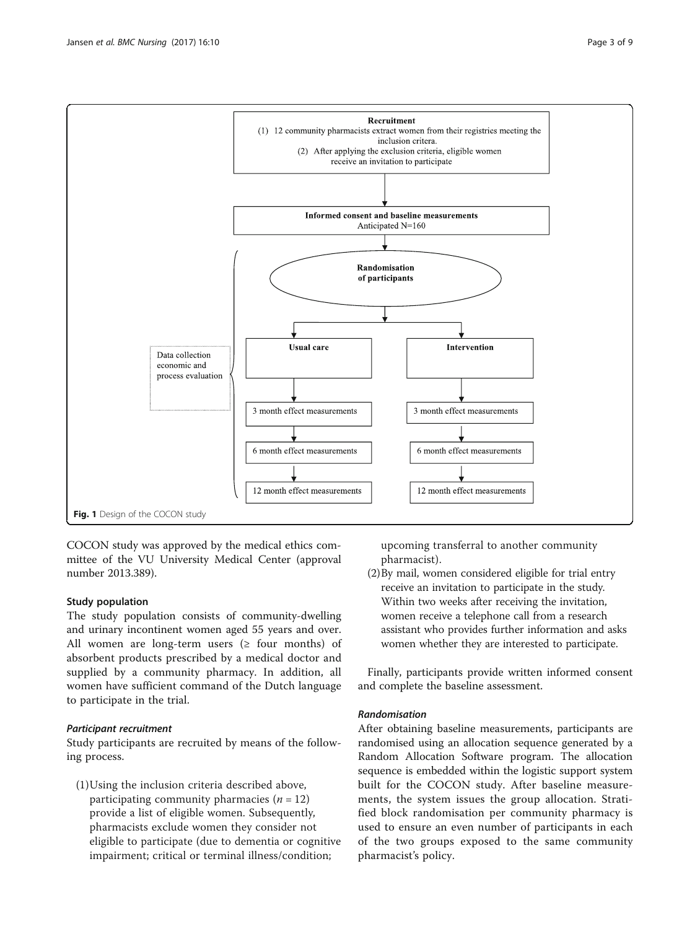<span id="page-2-0"></span>

COCON study was approved by the medical ethics committee of the VU University Medical Center (approval number 2013.389).

## Study population

The study population consists of community-dwelling and urinary incontinent women aged 55 years and over. All women are long-term users ( $\geq$  four months) of absorbent products prescribed by a medical doctor and supplied by a community pharmacy. In addition, all women have sufficient command of the Dutch language to participate in the trial.

## Participant recruitment

Study participants are recruited by means of the following process.

(1)Using the inclusion criteria described above, participating community pharmacies  $(n = 12)$ provide a list of eligible women. Subsequently, pharmacists exclude women they consider not eligible to participate (due to dementia or cognitive impairment; critical or terminal illness/condition;

upcoming transferral to another community pharmacist).

(2)By mail, women considered eligible for trial entry receive an invitation to participate in the study. Within two weeks after receiving the invitation, women receive a telephone call from a research assistant who provides further information and asks women whether they are interested to participate.

Finally, participants provide written informed consent and complete the baseline assessment.

## Randomisation

After obtaining baseline measurements, participants are randomised using an allocation sequence generated by a Random Allocation Software program. The allocation sequence is embedded within the logistic support system built for the COCON study. After baseline measurements, the system issues the group allocation. Stratified block randomisation per community pharmacy is used to ensure an even number of participants in each of the two groups exposed to the same community pharmacist's policy.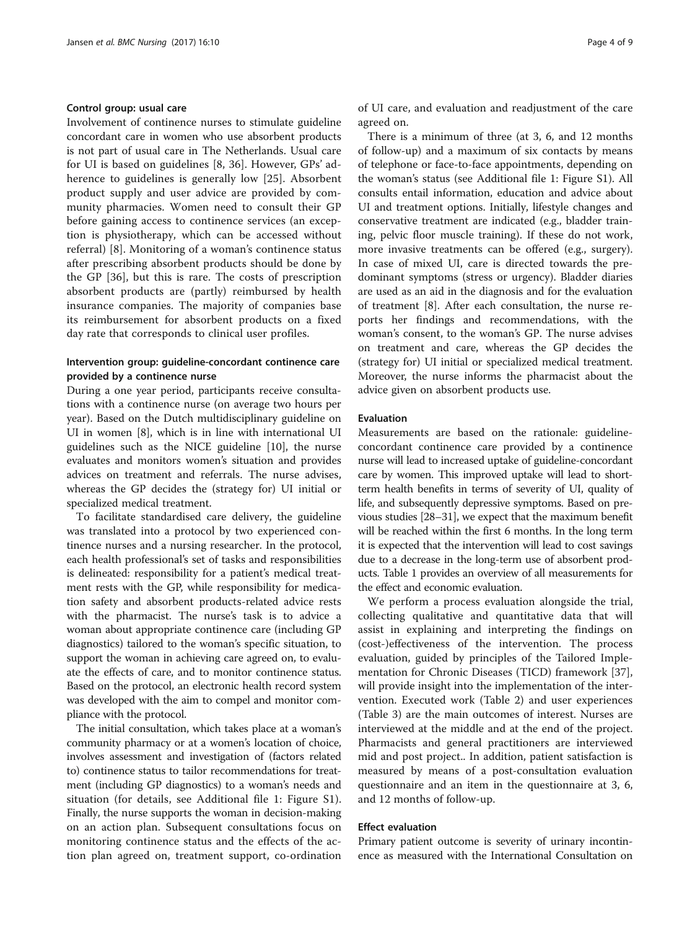## Control group: usual care

Involvement of continence nurses to stimulate guideline concordant care in women who use absorbent products is not part of usual care in The Netherlands. Usual care for UI is based on guidelines [\[8](#page-7-0), [36\]](#page-8-0). However, GPs' adherence to guidelines is generally low [\[25](#page-8-0)]. Absorbent product supply and user advice are provided by community pharmacies. Women need to consult their GP before gaining access to continence services (an exception is physiotherapy, which can be accessed without referral) [[8\]](#page-7-0). Monitoring of a woman's continence status after prescribing absorbent products should be done by the GP [[36\]](#page-8-0), but this is rare. The costs of prescription absorbent products are (partly) reimbursed by health insurance companies. The majority of companies base its reimbursement for absorbent products on a fixed day rate that corresponds to clinical user profiles.

## Intervention group: guideline-concordant continence care provided by a continence nurse

During a one year period, participants receive consultations with a continence nurse (on average two hours per year). Based on the Dutch multidisciplinary guideline on UI in women [[8](#page-7-0)], which is in line with international UI guidelines such as the NICE guideline [\[10\]](#page-7-0), the nurse evaluates and monitors women's situation and provides advices on treatment and referrals. The nurse advises, whereas the GP decides the (strategy for) UI initial or specialized medical treatment.

To facilitate standardised care delivery, the guideline was translated into a protocol by two experienced continence nurses and a nursing researcher. In the protocol, each health professional's set of tasks and responsibilities is delineated: responsibility for a patient's medical treatment rests with the GP, while responsibility for medication safety and absorbent products-related advice rests with the pharmacist. The nurse's task is to advice a woman about appropriate continence care (including GP diagnostics) tailored to the woman's specific situation, to support the woman in achieving care agreed on, to evaluate the effects of care, and to monitor continence status. Based on the protocol, an electronic health record system was developed with the aim to compel and monitor compliance with the protocol.

The initial consultation, which takes place at a woman's community pharmacy or at a women's location of choice, involves assessment and investigation of (factors related to) continence status to tailor recommendations for treatment (including GP diagnostics) to a woman's needs and situation (for details, see Additional file [1:](#page-7-0) Figure S1). Finally, the nurse supports the woman in decision-making on an action plan. Subsequent consultations focus on monitoring continence status and the effects of the action plan agreed on, treatment support, co-ordination of UI care, and evaluation and readjustment of the care agreed on.

There is a minimum of three (at 3, 6, and 12 months of follow-up) and a maximum of six contacts by means of telephone or face-to-face appointments, depending on the woman's status (see Additional file [1](#page-7-0): Figure S1). All consults entail information, education and advice about UI and treatment options. Initially, lifestyle changes and conservative treatment are indicated (e.g., bladder training, pelvic floor muscle training). If these do not work, more invasive treatments can be offered (e.g., surgery). In case of mixed UI, care is directed towards the predominant symptoms (stress or urgency). Bladder diaries are used as an aid in the diagnosis and for the evaluation of treatment [\[8](#page-7-0)]. After each consultation, the nurse reports her findings and recommendations, with the woman's consent, to the woman's GP. The nurse advises on treatment and care, whereas the GP decides the (strategy for) UI initial or specialized medical treatment. Moreover, the nurse informs the pharmacist about the advice given on absorbent products use.

#### Evaluation

Measurements are based on the rationale: guidelineconcordant continence care provided by a continence nurse will lead to increased uptake of guideline-concordant care by women. This improved uptake will lead to shortterm health benefits in terms of severity of UI, quality of life, and subsequently depressive symptoms. Based on previous studies [[28](#page-8-0)–[31\]](#page-8-0), we expect that the maximum benefit will be reached within the first 6 months. In the long term it is expected that the intervention will lead to cost savings due to a decrease in the long-term use of absorbent products. Table [1](#page-4-0) provides an overview of all measurements for the effect and economic evaluation.

We perform a process evaluation alongside the trial, collecting qualitative and quantitative data that will assist in explaining and interpreting the findings on (cost-)effectiveness of the intervention. The process evaluation, guided by principles of the Tailored Implementation for Chronic Diseases (TICD) framework [\[37](#page-8-0)], will provide insight into the implementation of the intervention. Executed work (Table [2\)](#page-4-0) and user experiences (Table [3\)](#page-5-0) are the main outcomes of interest. Nurses are interviewed at the middle and at the end of the project. Pharmacists and general practitioners are interviewed mid and post project.. In addition, patient satisfaction is measured by means of a post-consultation evaluation questionnaire and an item in the questionnaire at 3, 6, and 12 months of follow-up.

## Effect evaluation

Primary patient outcome is severity of urinary incontinence as measured with the International Consultation on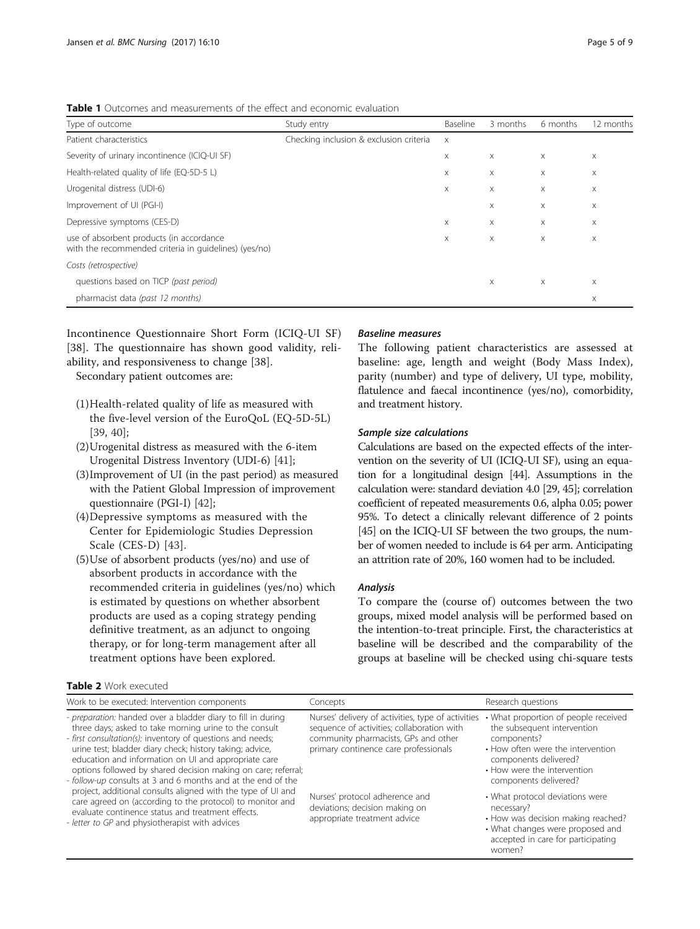<span id="page-4-0"></span>Table 1 Outcomes and measurements of the effect and economic evaluation

| Type of outcome                                                                                   | Study entry                             | <b>Baseline</b> | 3 months | 6 months | 12 months |
|---------------------------------------------------------------------------------------------------|-----------------------------------------|-----------------|----------|----------|-----------|
| Patient characteristics                                                                           | Checking inclusion & exclusion criteria | $\times$        |          |          |           |
| Severity of urinary incontinence (ICIQ-UI SF)                                                     |                                         | X               | X        | $\times$ | $\times$  |
| Health-related quality of life (EQ-5D-5 L)                                                        |                                         | X               | X        | $\times$ | X         |
| Urogenital distress (UDI-6)                                                                       |                                         | X               | X        | $\times$ | X         |
| Improvement of UI (PGI-I)                                                                         |                                         |                 | X        | $\times$ | $\times$  |
| Depressive symptoms (CES-D)                                                                       |                                         | $\times$        | X        | $\times$ | $\times$  |
| use of absorbent products (in accordance<br>with the recommended criteria in quidelines) (yes/no) |                                         | $\times$        | X        | $\times$ | $\times$  |
| Costs (retrospective)                                                                             |                                         |                 |          |          |           |
| questions based on TICP (past period)                                                             |                                         |                 | X        | $\times$ | $\times$  |
| pharmacist data (past 12 months)                                                                  |                                         |                 |          |          | X         |

Incontinence Questionnaire Short Form (ICIQ-UI SF) [[38\]](#page-8-0). The questionnaire has shown good validity, reliability, and responsiveness to change [[38\]](#page-8-0).

Secondary patient outcomes are:

- (1)Health-related quality of life as measured with the five-level version of the EuroQoL (EQ-5D-5L) [[39](#page-8-0), [40](#page-8-0)];
- (2)Urogenital distress as measured with the 6-item Urogenital Distress Inventory (UDI-6) [\[41\]](#page-8-0);
- (3)Improvement of UI (in the past period) as measured with the Patient Global Impression of improvement questionnaire (PGI-I) [\[42](#page-8-0)];
- (4)Depressive symptoms as measured with the Center for Epidemiologic Studies Depression Scale (CES-D) [[43](#page-8-0)].
- (5)Use of absorbent products (yes/no) and use of absorbent products in accordance with the recommended criteria in guidelines (yes/no) which is estimated by questions on whether absorbent products are used as a coping strategy pending definitive treatment, as an adjunct to ongoing therapy, or for long-term management after all treatment options have been explored.

#### Baseline measures

The following patient characteristics are assessed at baseline: age, length and weight (Body Mass Index), parity (number) and type of delivery, UI type, mobility, flatulence and faecal incontinence (yes/no), comorbidity, and treatment history.

#### Sample size calculations

Calculations are based on the expected effects of the intervention on the severity of UI (ICIQ-UI SF), using an equation for a longitudinal design [[44](#page-8-0)]. Assumptions in the calculation were: standard deviation 4.0 [\[29](#page-8-0), [45](#page-8-0)]; correlation coefficient of repeated measurements 0.6, alpha 0.05; power 95%. To detect a clinically relevant difference of 2 points [[45](#page-8-0)] on the ICIQ-UI SF between the two groups, the number of women needed to include is 64 per arm. Anticipating an attrition rate of 20%, 160 women had to be included.

## Analysis

To compare the (course of) outcomes between the two groups, mixed model analysis will be performed based on the intention-to-treat principle. First, the characteristics at baseline will be described and the comparability of the groups at baseline will be checked using chi-square tests

| <b>Table 2</b> Work executed |  |
|------------------------------|--|
|------------------------------|--|

| Work to be executed: Intervention components                                                                                                                                                                                                                                                                                                                                                                                                                                                                                                                                                                                                                                   | Concepts                                                                                                                                                                          | Research questions                                                                                                                                                                                       |
|--------------------------------------------------------------------------------------------------------------------------------------------------------------------------------------------------------------------------------------------------------------------------------------------------------------------------------------------------------------------------------------------------------------------------------------------------------------------------------------------------------------------------------------------------------------------------------------------------------------------------------------------------------------------------------|-----------------------------------------------------------------------------------------------------------------------------------------------------------------------------------|----------------------------------------------------------------------------------------------------------------------------------------------------------------------------------------------------------|
| - preparation: handed over a bladder diary to fill in during<br>three days; asked to take morning urine to the consult<br>- first consultation(s): inventory of questions and needs;<br>urine test; bladder diary check; history taking; advice,<br>education and information on UI and appropriate care<br>options followed by shared decision making on care; referral;<br>- follow-up consults at 3 and 6 months and at the end of the<br>project, additional consults aligned with the type of UI and<br>care agreed on (according to the protocol) to monitor and<br>evaluate continence status and treatment effects.<br>- letter to GP and physiotherapist with advices | Nurses' delivery of activities, type of activities<br>sequence of activities; collaboration with<br>community pharmacists, GPs and other<br>primary continence care professionals | • What proportion of people received<br>the subsequent intervention<br>components?<br>• How often were the intervention<br>components delivered?<br>• How were the intervention<br>components delivered? |
|                                                                                                                                                                                                                                                                                                                                                                                                                                                                                                                                                                                                                                                                                | Nurses' protocol adherence and<br>deviations; decision making on<br>appropriate treatment advice                                                                                  | • What protocol deviations were<br>necessary?<br>• How was decision making reached?<br>• What changes were proposed and<br>accepted in care for participating<br>women?                                  |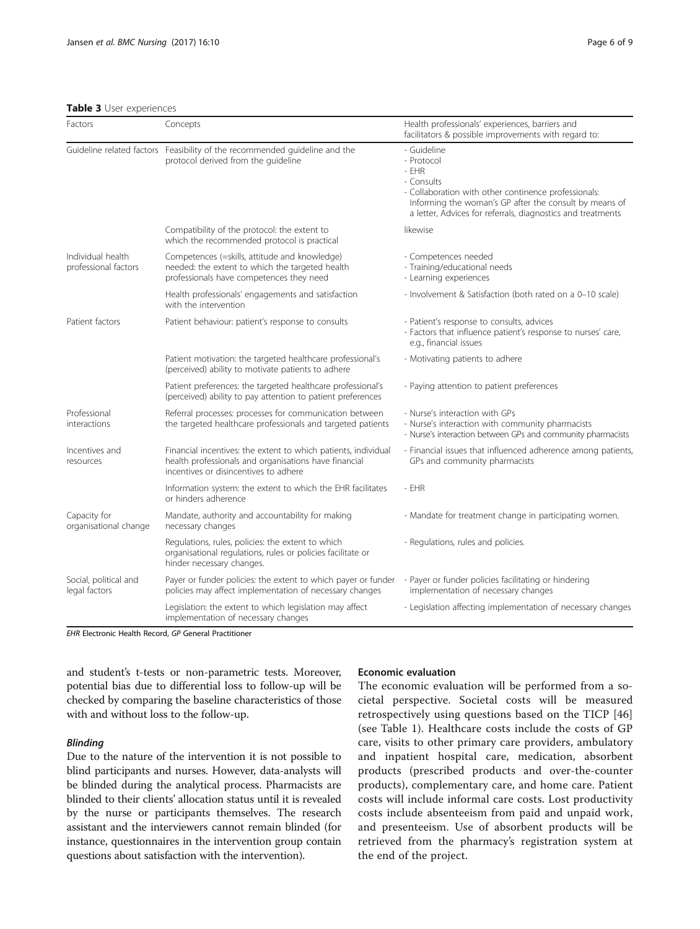<span id="page-5-0"></span>Table 3 User experiences

| Factors                                   | Concepts                                                                                                                                                         | Health professionals' experiences, barriers and<br>facilitators & possible improvements with regard to:                                                                                                                             |
|-------------------------------------------|------------------------------------------------------------------------------------------------------------------------------------------------------------------|-------------------------------------------------------------------------------------------------------------------------------------------------------------------------------------------------------------------------------------|
|                                           | Guideline related factors Feasibility of the recommended guideline and the<br>protocol derived from the guideline                                                | - Guideline<br>- Protocol<br>$-$ EHR<br>- Consults<br>- Collaboration with other continence professionals:<br>Informing the woman's GP after the consult by means of<br>a letter, Advices for referrals, diagnostics and treatments |
|                                           | Compatibility of the protocol: the extent to<br>which the recommended protocol is practical                                                                      | likewise                                                                                                                                                                                                                            |
| Individual health<br>professional factors | Competences (=skills, attitude and knowledge)<br>needed: the extent to which the targeted health<br>professionals have competences they need                     | - Competences needed<br>- Training/educational needs<br>- Learning experiences                                                                                                                                                      |
|                                           | Health professionals' engagements and satisfaction<br>with the intervention                                                                                      | - Involvement & Satisfaction (both rated on a 0-10 scale)                                                                                                                                                                           |
| Patient factors                           | Patient behaviour: patient's response to consults                                                                                                                | - Patient's response to consults, advices<br>- Factors that influence patient's response to nurses' care,<br>e.g., financial issues                                                                                                 |
|                                           | Patient motivation: the targeted healthcare professional's<br>(perceived) ability to motivate patients to adhere                                                 | - Motivating patients to adhere                                                                                                                                                                                                     |
|                                           | Patient preferences: the targeted healthcare professional's<br>(perceived) ability to pay attention to patient preferences                                       | - Paying attention to patient preferences                                                                                                                                                                                           |
| Professional<br>interactions              | Referral processes: processes for communication between<br>the targeted healthcare professionals and targeted patients                                           | - Nurse's interaction with GPs<br>- Nurse's interaction with community pharmacists<br>- Nurse's interaction between GPs and community pharmacists                                                                                   |
| Incentives and<br>resources               | Financial incentives: the extent to which patients, individual<br>health professionals and organisations have financial<br>incentives or disincentives to adhere | - Financial issues that influenced adherence among patients,<br>GPs and community pharmacists                                                                                                                                       |
|                                           | Information system: the extent to which the EHR facilitates<br>or hinders adherence                                                                              | $-$ EHR                                                                                                                                                                                                                             |
| Capacity for<br>organisational change     | Mandate, authority and accountability for making<br>necessary changes                                                                                            | - Mandate for treatment change in participating women.                                                                                                                                                                              |
|                                           | Regulations, rules, policies: the extent to which<br>organisational regulations, rules or policies facilitate or<br>hinder necessary changes.                    | - Regulations, rules and policies.                                                                                                                                                                                                  |
| Social, political and<br>legal factors    | Payer or funder policies: the extent to which payer or funder<br>policies may affect implementation of necessary changes                                         | - Payer or funder policies facilitating or hindering<br>implementation of necessary changes                                                                                                                                         |
|                                           | Legislation: the extent to which legislation may affect<br>implementation of necessary changes                                                                   | - Legislation affecting implementation of necessary changes                                                                                                                                                                         |

EHR Electronic Health Record, GP General Practitioner

and student's t-tests or non-parametric tests. Moreover, potential bias due to differential loss to follow-up will be checked by comparing the baseline characteristics of those with and without loss to the follow-up.

## Blinding

Due to the nature of the intervention it is not possible to blind participants and nurses. However, data-analysts will be blinded during the analytical process. Pharmacists are blinded to their clients' allocation status until it is revealed by the nurse or participants themselves. The research assistant and the interviewers cannot remain blinded (for instance, questionnaires in the intervention group contain questions about satisfaction with the intervention).

## Economic evaluation

The economic evaluation will be performed from a societal perspective. Societal costs will be measured retrospectively using questions based on the TICP [\[46](#page-8-0)] (see Table [1](#page-4-0)). Healthcare costs include the costs of GP care, visits to other primary care providers, ambulatory and inpatient hospital care, medication, absorbent products (prescribed products and over-the-counter products), complementary care, and home care. Patient costs will include informal care costs. Lost productivity costs include absenteeism from paid and unpaid work, and presenteeism. Use of absorbent products will be retrieved from the pharmacy's registration system at the end of the project.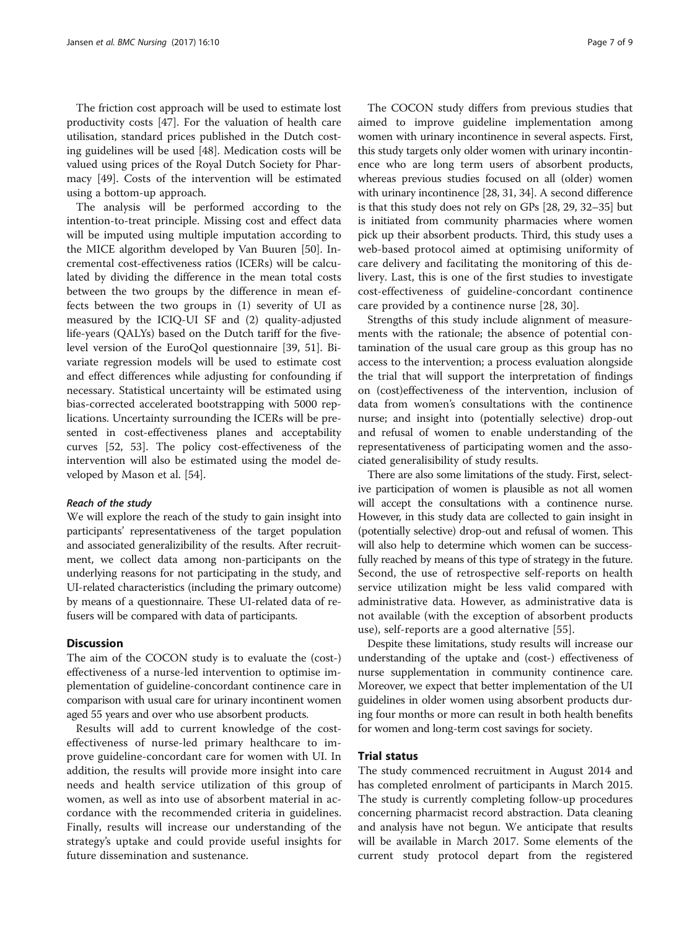The friction cost approach will be used to estimate lost productivity costs [\[47](#page-8-0)]. For the valuation of health care utilisation, standard prices published in the Dutch costing guidelines will be used [\[48\]](#page-8-0). Medication costs will be valued using prices of the Royal Dutch Society for Pharmacy [[49\]](#page-8-0). Costs of the intervention will be estimated using a bottom-up approach.

The analysis will be performed according to the intention-to-treat principle. Missing cost and effect data will be imputed using multiple imputation according to the MICE algorithm developed by Van Buuren [\[50](#page-8-0)]. Incremental cost-effectiveness ratios (ICERs) will be calculated by dividing the difference in the mean total costs between the two groups by the difference in mean effects between the two groups in (1) severity of UI as measured by the ICIQ-UI SF and (2) quality-adjusted life-years (QALYs) based on the Dutch tariff for the fivelevel version of the EuroQol questionnaire [\[39](#page-8-0), [51](#page-8-0)]. Bivariate regression models will be used to estimate cost and effect differences while adjusting for confounding if necessary. Statistical uncertainty will be estimated using bias-corrected accelerated bootstrapping with 5000 replications. Uncertainty surrounding the ICERs will be presented in cost-effectiveness planes and acceptability curves [[52, 53\]](#page-8-0). The policy cost-effectiveness of the intervention will also be estimated using the model developed by Mason et al. [\[54\]](#page-8-0).

#### Reach of the study

We will explore the reach of the study to gain insight into participants' representativeness of the target population and associated generalizibility of the results. After recruitment, we collect data among non-participants on the underlying reasons for not participating in the study, and UI-related characteristics (including the primary outcome) by means of a questionnaire. These UI-related data of refusers will be compared with data of participants.

## **Discussion**

The aim of the COCON study is to evaluate the (cost-) effectiveness of a nurse-led intervention to optimise implementation of guideline-concordant continence care in comparison with usual care for urinary incontinent women aged 55 years and over who use absorbent products.

Results will add to current knowledge of the costeffectiveness of nurse-led primary healthcare to improve guideline-concordant care for women with UI. In addition, the results will provide more insight into care needs and health service utilization of this group of women, as well as into use of absorbent material in accordance with the recommended criteria in guidelines. Finally, results will increase our understanding of the strategy's uptake and could provide useful insights for future dissemination and sustenance.

The COCON study differs from previous studies that aimed to improve guideline implementation among women with urinary incontinence in several aspects. First, this study targets only older women with urinary incontinence who are long term users of absorbent products, whereas previous studies focused on all (older) women with urinary incontinence [\[28](#page-8-0), [31](#page-8-0), [34\]](#page-8-0). A second difference is that this study does not rely on GPs [[28](#page-8-0), [29](#page-8-0), [32](#page-8-0)–[35](#page-8-0)] but is initiated from community pharmacies where women pick up their absorbent products. Third, this study uses a web-based protocol aimed at optimising uniformity of care delivery and facilitating the monitoring of this delivery. Last, this is one of the first studies to investigate cost-effectiveness of guideline-concordant continence care provided by a continence nurse [\[28](#page-8-0), [30](#page-8-0)].

Strengths of this study include alignment of measurements with the rationale; the absence of potential contamination of the usual care group as this group has no access to the intervention; a process evaluation alongside the trial that will support the interpretation of findings on (cost)effectiveness of the intervention, inclusion of data from women's consultations with the continence nurse; and insight into (potentially selective) drop-out and refusal of women to enable understanding of the representativeness of participating women and the associated generalisibility of study results.

There are also some limitations of the study. First, selective participation of women is plausible as not all women will accept the consultations with a continence nurse. However, in this study data are collected to gain insight in (potentially selective) drop-out and refusal of women. This will also help to determine which women can be successfully reached by means of this type of strategy in the future. Second, the use of retrospective self-reports on health service utilization might be less valid compared with administrative data. However, as administrative data is not available (with the exception of absorbent products use), self-reports are a good alternative [[55\]](#page-8-0).

Despite these limitations, study results will increase our understanding of the uptake and (cost-) effectiveness of nurse supplementation in community continence care. Moreover, we expect that better implementation of the UI guidelines in older women using absorbent products during four months or more can result in both health benefits for women and long-term cost savings for society.

## Trial status

The study commenced recruitment in August 2014 and has completed enrolment of participants in March 2015. The study is currently completing follow-up procedures concerning pharmacist record abstraction. Data cleaning and analysis have not begun. We anticipate that results will be available in March 2017. Some elements of the current study protocol depart from the registered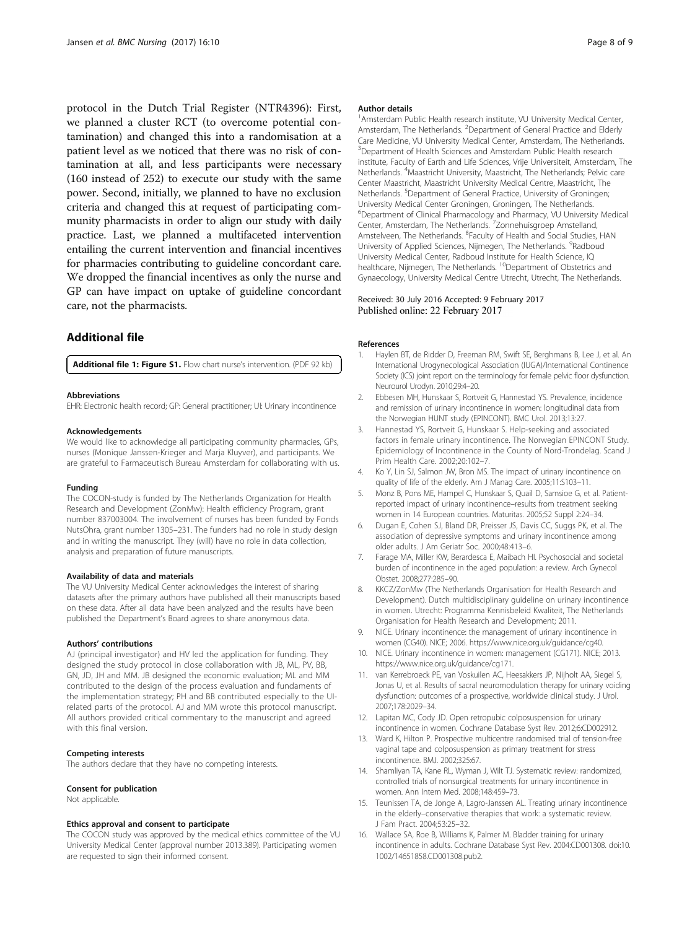<span id="page-7-0"></span>protocol in the Dutch Trial Register (NTR4396): First, we planned a cluster RCT (to overcome potential contamination) and changed this into a randomisation at a patient level as we noticed that there was no risk of contamination at all, and less participants were necessary (160 instead of 252) to execute our study with the same power. Second, initially, we planned to have no exclusion criteria and changed this at request of participating community pharmacists in order to align our study with daily practice. Last, we planned a multifaceted intervention entailing the current intervention and financial incentives for pharmacies contributing to guideline concordant care. We dropped the financial incentives as only the nurse and GP can have impact on uptake of guideline concordant care, not the pharmacists.

## Additional file

[Additional file 1: Figure S1.](dx.doi.org/10.1186/s12912-017-0204-8) Flow chart nurse's intervention. (PDF 92 kb)

#### Abbreviations

EHR: Electronic health record; GP: General practitioner; UI: Urinary incontinence

#### Acknowledgements

We would like to acknowledge all participating community pharmacies, GPs, nurses (Monique Janssen-Krieger and Marja Kluyver), and participants. We are grateful to Farmaceutisch Bureau Amsterdam for collaborating with us.

#### Funding

The COCON-study is funded by The Netherlands Organization for Health Research and Development (ZonMw): Health efficiency Program, grant number 837003004. The involvement of nurses has been funded by Fonds NutsOhra, grant number 1305–231. The funders had no role in study design and in writing the manuscript. They (will) have no role in data collection, analysis and preparation of future manuscripts.

#### Availability of data and materials

The VU University Medical Center acknowledges the interest of sharing datasets after the primary authors have published all their manuscripts based on these data. After all data have been analyzed and the results have been published the Department's Board agrees to share anonymous data.

#### Authors' contributions

AJ (principal investigator) and HV led the application for funding. They designed the study protocol in close collaboration with JB, ML, PV, BB, GN, JD, JH and MM. JB designed the economic evaluation; ML and MM contributed to the design of the process evaluation and fundaments of the implementation strategy; PH and BB contributed especially to the UIrelated parts of the protocol. AJ and MM wrote this protocol manuscript. All authors provided critical commentary to the manuscript and agreed with this final version.

#### Competing interests

The authors declare that they have no competing interests.

#### Consent for publication

Not applicable.

#### Ethics approval and consent to participate

The COCON study was approved by the medical ethics committee of the VU University Medical Center (approval number 2013.389). Participating women are requested to sign their informed consent.

#### Author details

<sup>1</sup> Amsterdam Public Health research institute, VU University Medical Center Amsterdam, The Netherlands. <sup>2</sup>Department of General Practice and Elderly Care Medicine, VU University Medical Center, Amsterdam, The Netherlands. <sup>3</sup>Department of Health Sciences and Amsterdam Public Health research institute, Faculty of Earth and Life Sciences, Vrije Universiteit, Amsterdam, The Netherlands. <sup>4</sup>Maastricht University, Maastricht, The Netherlands; Pelvic care Center Maastricht, Maastricht University Medical Centre, Maastricht, The Netherlands. <sup>5</sup>Department of General Practice, University of Groningen University Medical Center Groningen, Groningen, The Netherlands. 6 Department of Clinical Pharmacology and Pharmacy, VU University Medical Center, Amsterdam, The Netherlands. <sup>7</sup>Zonnehuisgroep Amstelland Amstelveen, The Netherlands. <sup>8</sup>Faculty of Health and Social Studies, HAN University of Applied Sciences, Nijmegen, The Netherlands. <sup>9</sup>Radboud University Medical Center, Radboud Institute for Health Science, IQ healthcare, Nijmegen, The Netherlands. <sup>10</sup>Department of Obstetrics and Gynaecology, University Medical Centre Utrecht, Utrecht, The Netherlands.

#### Received: 30 July 2016 Accepted: 9 February 2017 Published online: 22 February 2017

#### References

- 1. Haylen BT, de Ridder D, Freeman RM, Swift SE, Berghmans B, Lee J, et al. An International Urogynecological Association (IUGA)/International Continence Society (ICS) joint report on the terminology for female pelvic floor dysfunction. Neurourol Urodyn. 2010;29:4–20.
- 2. Ebbesen MH, Hunskaar S, Rortveit G, Hannestad YS. Prevalence, incidence and remission of urinary incontinence in women: longitudinal data from the Norwegian HUNT study (EPINCONT). BMC Urol. 2013;13:27.
- 3. Hannestad YS, Rortveit G, Hunskaar S. Help-seeking and associated factors in female urinary incontinence. The Norwegian EPINCONT Study. Epidemiology of Incontinence in the County of Nord-Trondelag. Scand J Prim Health Care. 2002;20:102–7.
- 4. Ko Y, Lin SJ, Salmon JW, Bron MS. The impact of urinary incontinence on quality of life of the elderly. Am J Manag Care. 2005;11:S103–11.
- 5. Monz B, Pons ME, Hampel C, Hunskaar S, Quail D, Samsioe G, et al. Patientreported impact of urinary incontinence–results from treatment seeking women in 14 European countries. Maturitas. 2005;52 Suppl 2:24–34.
- 6. Dugan E, Cohen SJ, Bland DR, Preisser JS, Davis CC, Suggs PK, et al. The association of depressive symptoms and urinary incontinence among older adults. J Am Geriatr Soc. 2000;48:413–6.
- 7. Farage MA, Miller KW, Berardesca E, Maibach HI. Psychosocial and societal burden of incontinence in the aged population: a review. Arch Gynecol Obstet. 2008;277:285–90.
- 8. KKCZ/ZonMw (The Netherlands Organisation for Health Research and Development). Dutch multidisciplinary guideline on urinary incontinence in women. Utrecht: Programma Kennisbeleid Kwaliteit, The Netherlands Organisation for Health Research and Development; 2011.
- 9. NICE. Urinary incontinence: the management of urinary incontinence in women (CG40). NICE; 2006.<https://www.nice.org.uk/guidance/cg40>.
- 10. NICE. Urinary incontinence in women: management (CG171). NICE; 2013. [https://www.nice.org.uk/guidance/cg171.](https://www.nice.org.uk/guidance/cg171)
- 11. van Kerrebroeck PE, van Voskuilen AC, Heesakkers JP, Nijholt AA, Siegel S, Jonas U, et al. Results of sacral neuromodulation therapy for urinary voiding dysfunction: outcomes of a prospective, worldwide clinical study. J Urol. 2007;178:2029–34.
- 12. Lapitan MC, Cody JD. Open retropubic colposuspension for urinary incontinence in women. Cochrane Database Syst Rev. 2012;6:CD002912.
- 13. Ward K, Hilton P. Prospective multicentre randomised trial of tension-free vaginal tape and colposuspension as primary treatment for stress incontinence. BMJ. 2002;325:67.
- 14. Shamliyan TA, Kane RL, Wyman J, Wilt TJ. Systematic review: randomized, controlled trials of nonsurgical treatments for urinary incontinence in women. Ann Intern Med. 2008;148:459–73.
- 15. Teunissen TA, de Jonge A, Lagro-Janssen AL. Treating urinary incontinence in the elderly–conservative therapies that work: a systematic review. J Fam Pract. 2004;53:25–32.
- 16. Wallace SA, Roe B, Williams K, Palmer M. Bladder training for urinary incontinence in adults. Cochrane Database Syst Rev. 2004:CD001308. doi:[10.](http://dx.doi.org/10.1002/14651858.CD001308.pub2) [1002/14651858.CD001308.pub2](http://dx.doi.org/10.1002/14651858.CD001308.pub2).